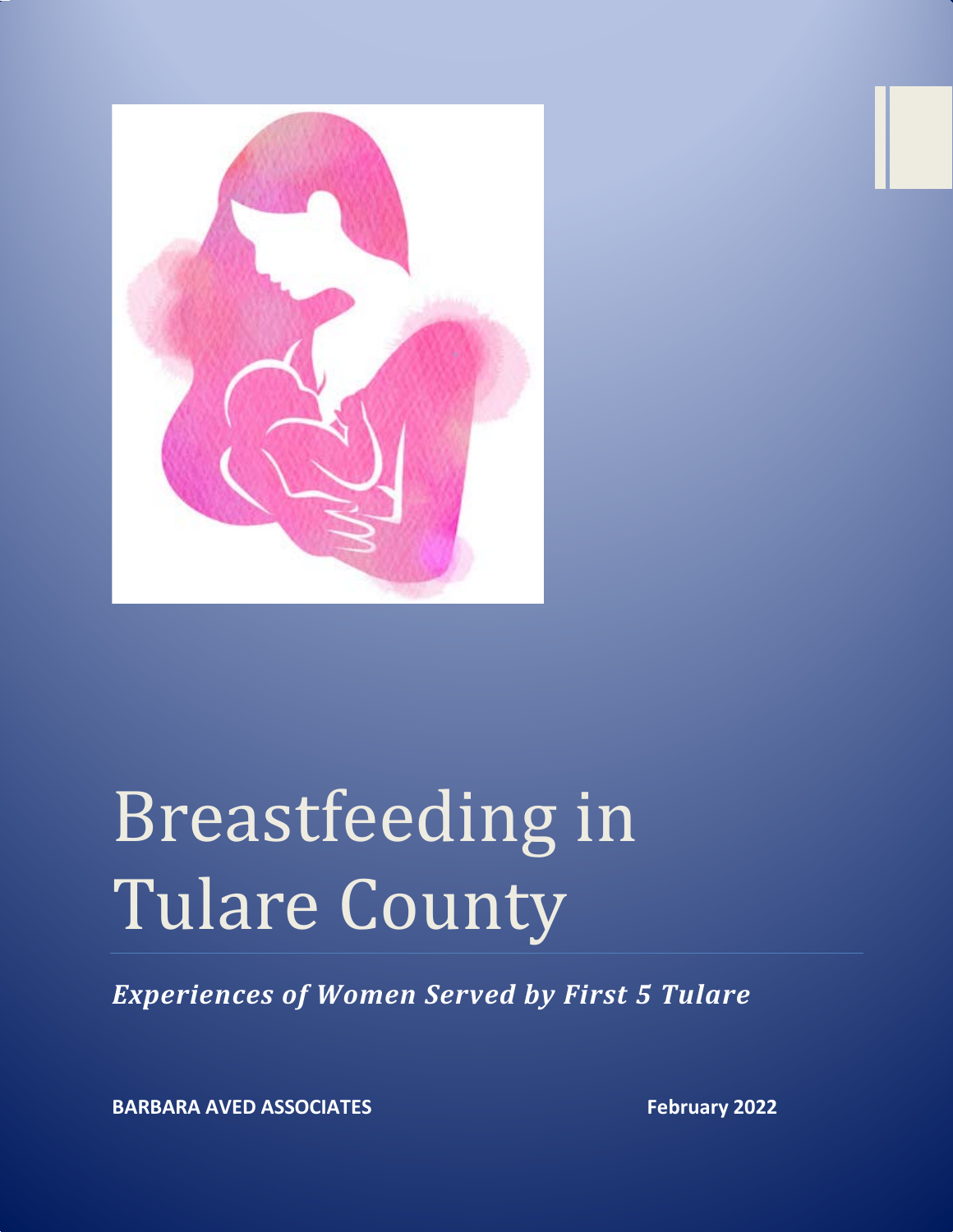

# Breastfeeding in Tulare County

*Experiences of Women Served by First 5 Tulare*

**BARBARA AVED ASSOCIATES February** 2022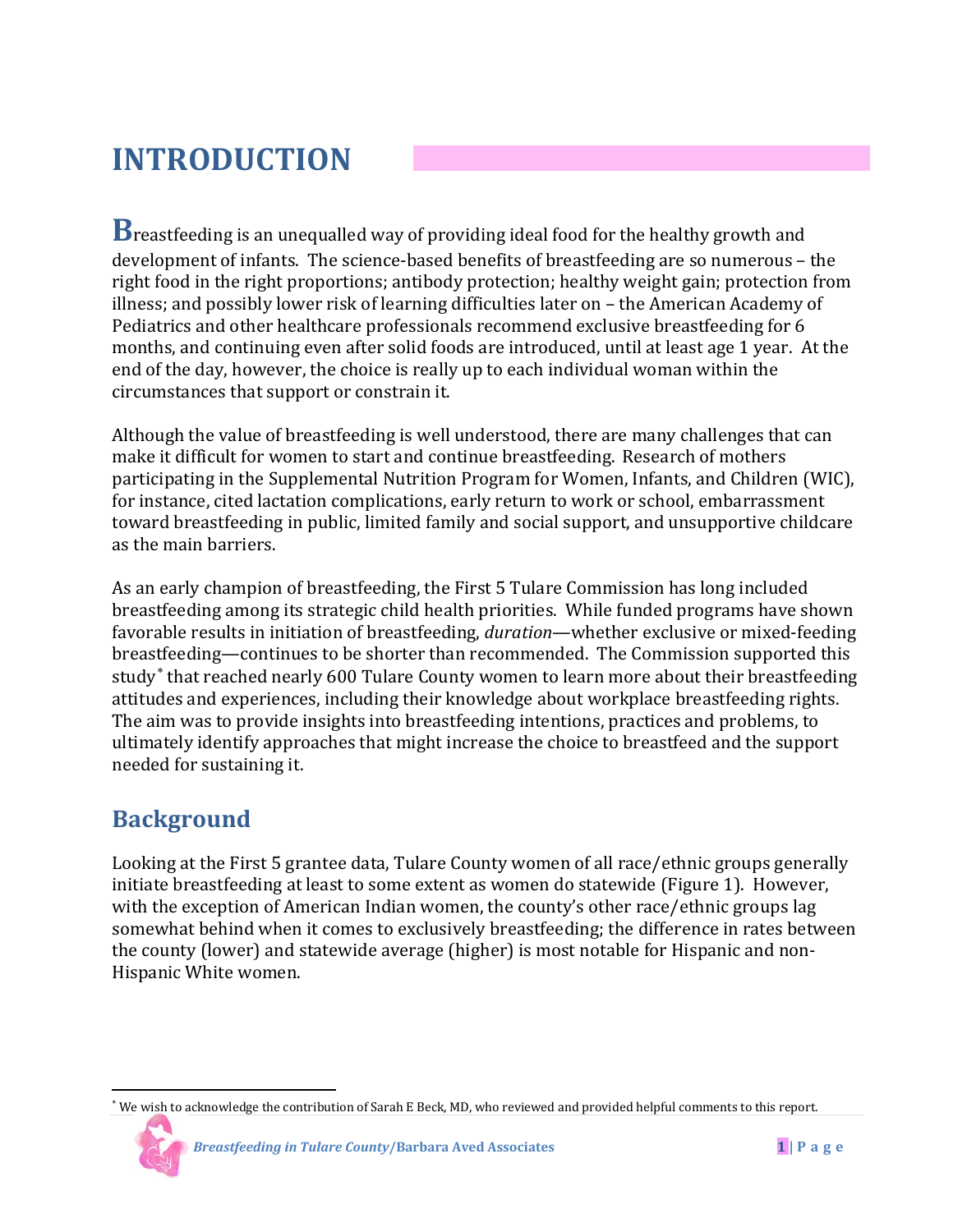# **INTRODUCTION**

**B**reastfeeding is an unequalled way of providing ideal food for the healthy growth and development of infants. The science-based benefits of breastfeeding are so numerous – the right food in the right proportions; antibody protection; healthy weight gain; protection from illness; and possibly lower risk of learning difficulties later on – the American Academy of Pediatrics and other healthcare professionals recommend exclusive breastfeeding for 6 months, and continuing even after solid foods are introduced, until at least age 1 year. At the end of the day, however, the choice is really up to each individual woman within the circumstances that support or constrain it.

Although the value of breastfeeding is well understood, there are many challenges that can make it difficult for women to start and continue breastfeeding. Research of mothers participating in the Supplemental Nutrition Program for Women, Infants, and Children (WIC), for instance, cited lactation complications, early return to work or school, embarrassment toward breastfeeding in public, limited family and social support, and unsupportive childcare as the main barriers.

As an early champion of breastfeeding, the First 5 Tulare Commission has long included breastfeeding among its strategic child health priorities. While funded programs have shown favorable results in initiation of breastfeeding, *duration*—whether exclusive or mixed-feeding breastfeeding—continues to be shorter than recommended. The Commission supported this study<sup>\*</sup> that reached nearly 600 Tulare County women to learn more about their breastfeeding attitudes and experiences, including their knowledge about workplace breastfeeding rights. The aim was to provide insights into breastfeeding intentions, practices and problems, to ultimately identify approaches that might increase the choice to breastfeed and the support needed for sustaining it.

## **Background**

Looking at the First 5 grantee data, Tulare County women of all race/ethnic groups generally initiate breastfeeding at least to some extent as women do statewide (Figure 1). However, with the exception of American Indian women, the county's other race/ethnic groups lag somewhat behind when it comes to exclusively breastfeeding; the difference in rates between the county (lower) and statewide average (higher) is most notable for Hispanic and non-Hispanic White women.

<span id="page-1-0"></span>l <sup>∗</sup> We wish to acknowledge the contribution of Sarah E Beck, MD, who reviewed and provided helpful comments to this report.

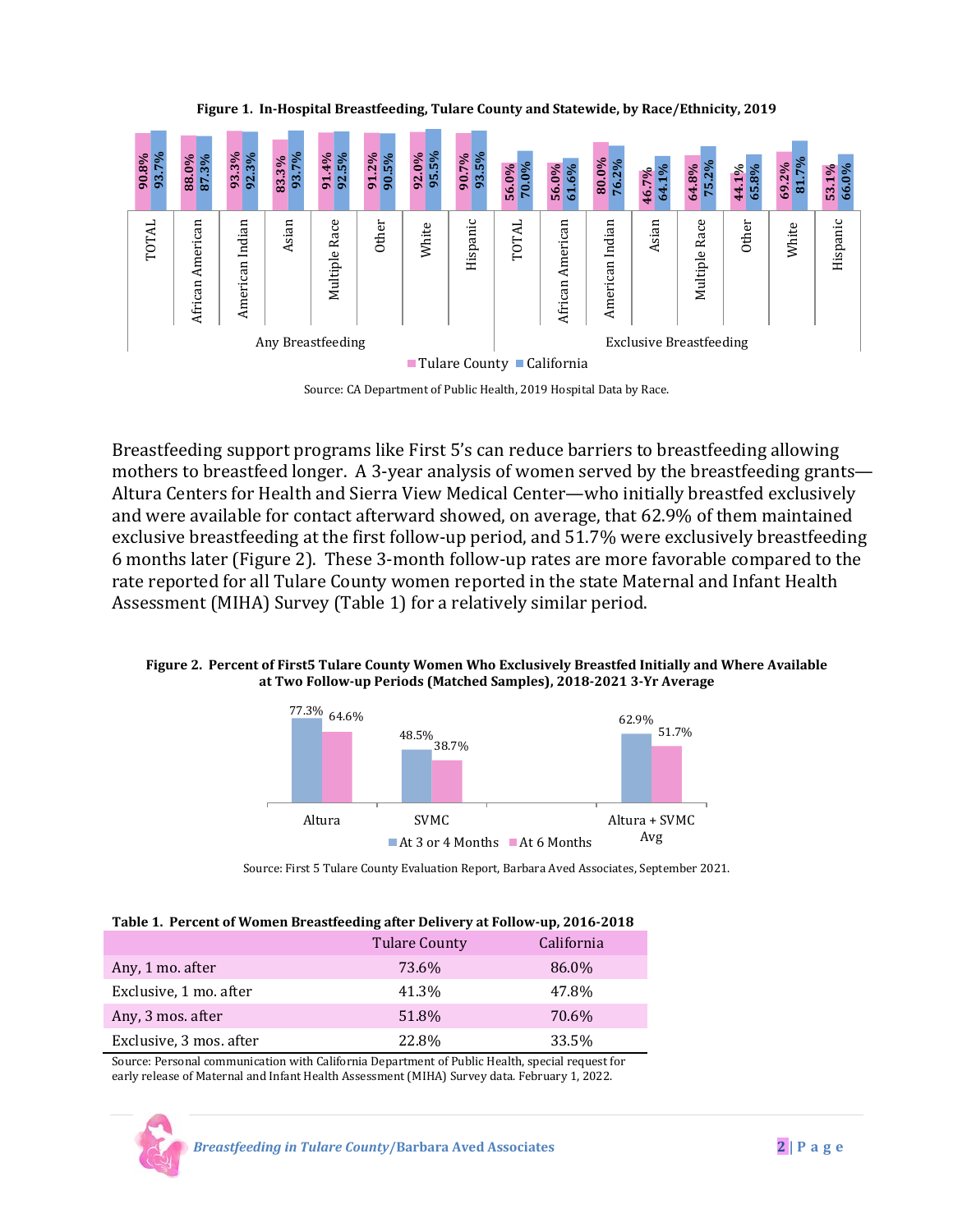

**Figure 1. In-Hospital Breastfeeding, Tulare County and Statewide, by Race/Ethnicity, 2019**

Source: CA Department of Public Health, 2019 Hospital Data by Race.

Breastfeeding support programs like First 5's can reduce barriers to breastfeeding allowing mothers to breastfeed longer. A 3-year analysis of women served by the breastfeeding grants— Altura Centers for Health and Sierra View Medical Center—who initially breastfed exclusively and were available for contact afterward showed, on average, that 62.9% of them maintained exclusive breastfeeding at the first follow-up period, and 51.7% were exclusively breastfeeding 6 months later (Figure 2). These 3-month follow-up rates are more favorable compared to the rate reported for all Tulare County women reported in the state Maternal and Infant Health Assessment (MIHA) Survey (Table 1) for a relatively similar period.

#### **Figure 2. Percent of First5 Tulare County Women Who Exclusively Breastfed Initially and Where Available at Two Follow-up Periods (Matched Samples), 2018-2021 3-Yr Average**



Source: First 5 Tulare County Evaluation Report, Barbara Aved Associates, September 2021.

|  |  | Table 1. Percent of Women Breastfeeding after Delivery at Follow-up, 2016-2018 |
|--|--|--------------------------------------------------------------------------------|
|  |  |                                                                                |

|                         | <b>Tulare County</b> | California |
|-------------------------|----------------------|------------|
| Any, 1 mo. after        | 73.6%                | 86.0%      |
| Exclusive, 1 mo. after  | 41.3%                | 47.8%      |
| Any, 3 mos. after       | 51.8%                | 70.6%      |
| Exclusive, 3 mos. after | 22.8%                | 33.5%      |
|                         |                      |            |

Source: Personal communication with California Department of Public Health, special request for early release of Maternal and Infant Health Assessment (MIHA) Survey data. February 1, 2022.

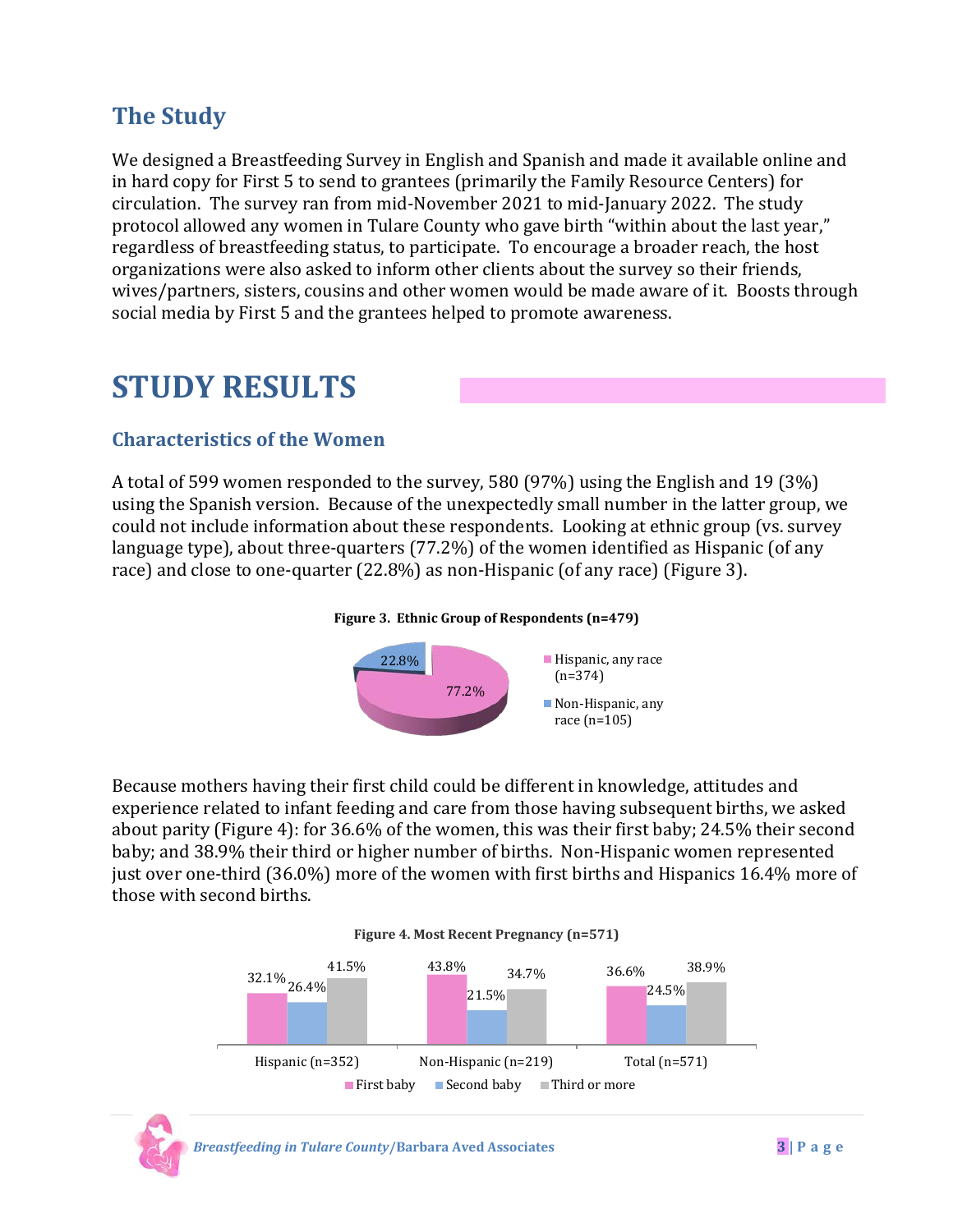## **The Study**

We designed a Breastfeeding Survey in English and Spanish and made it available online and in hard copy for First 5 to send to grantees (primarily the Family Resource Centers) for circulation. The survey ran from mid-November 2021 to mid-January 2022. The study protocol allowed any women in Tulare County who gave birth "within about the last year," regardless of breastfeeding status, to participate. To encourage a broader reach, the host organizations were also asked to inform other clients about the survey so their friends, wives/partners, sisters, cousins and other women would be made aware of it. Boosts through social media by First 5 and the grantees helped to promote awareness.

# **STUDY RESULTS**

### **Characteristics of the Women**

A total of 599 women responded to the survey, 580 (97%) using the English and 19 (3%) using the Spanish version. Because of the unexpectedly small number in the latter group, we could not include information about these respondents. Looking at ethnic group (vs. survey language type), about three-quarters (77.2%) of the women identified as Hispanic (of any race) and close to one-quarter (22.8%) as non-Hispanic (of any race) (Figure 3).

#### **Figure 3. Ethnic Group of Respondents (n=479)**



Because mothers having their first child could be different in knowledge, attitudes and experience related to infant feeding and care from those having subsequent births, we asked about parity (Figure 4): for 36.6% of the women, this was their first baby; 24.5% their second baby; and 38.9% their third or higher number of births. Non-Hispanic women represented just over one-third (36.0%) more of the women with first births and Hispanics 16.4% more of those with second births.





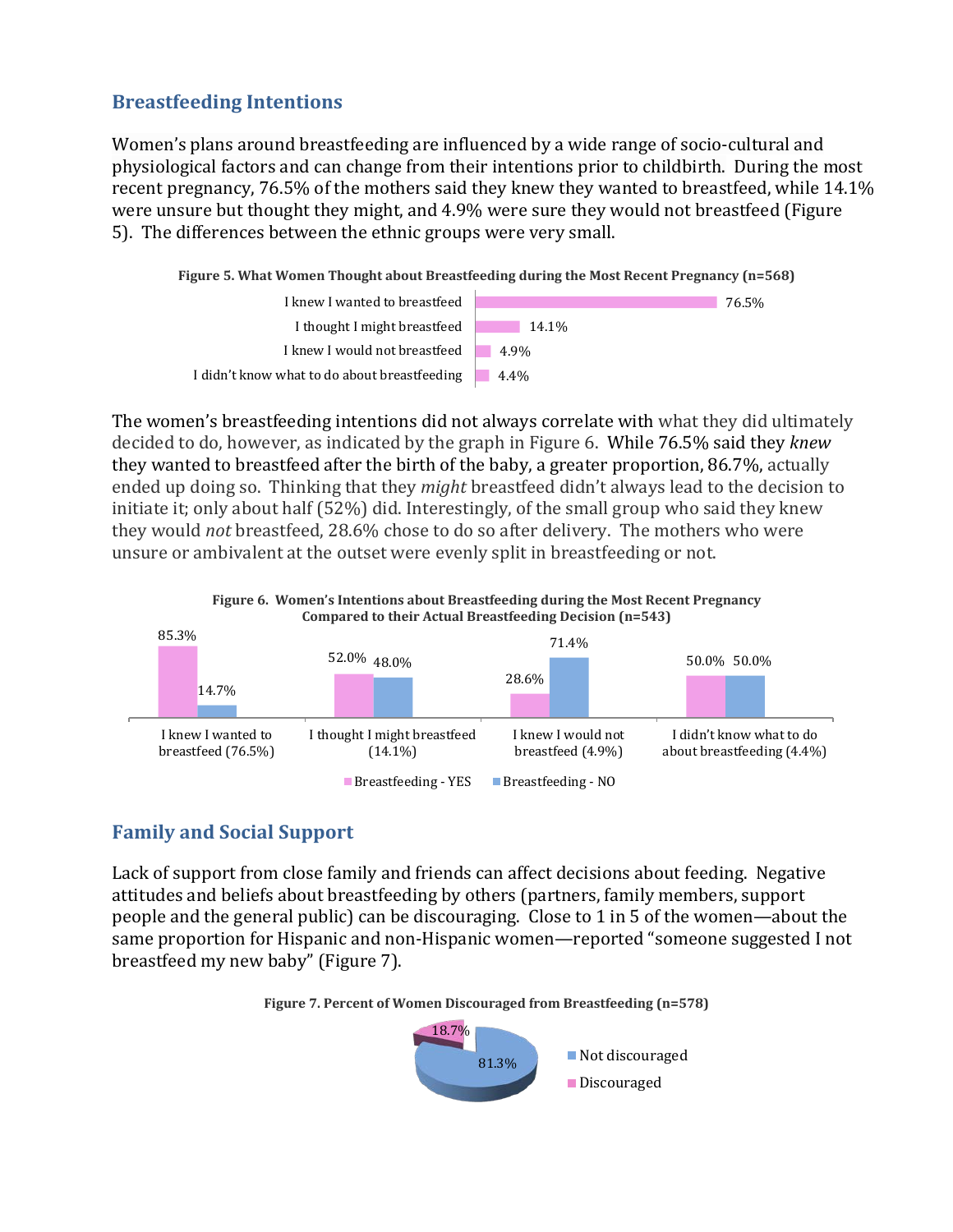#### **Breastfeeding Intentions**

Women's plans around breastfeeding are influenced by a wide range of socio-cultural and physiological factors and can change from their intentions prior to childbirth. During the most recent pregnancy, 76.5% of the mothers said they knew they wanted to breastfeed, while 14.1% were unsure but thought they might, and 4.9% were sure they would not breastfeed (Figure 5). The differences between the ethnic groups were very small.





The women's breastfeeding intentions did not always correlate with what they did ultimately decided to do, however, as indicated by the graph in Figure 6. While 76.5% said they *knew*  they wanted to breastfeed after the birth of the baby, a greater proportion, 86.7%, actually ended up doing so. Thinking that they *might* breastfeed didn't always lead to the decision to initiate it; only about half (52%) did. Interestingly, of the small group who said they knew they would *not* breastfeed, 28.6% chose to do so after delivery. The mothers who were unsure or ambivalent at the outset were evenly split in breastfeeding or not.



## **Family and Social Support**

Lack of support from close family and friends can affect decisions about feeding. Negative attitudes and beliefs about breastfeeding by others (partners, family members, support people and the general public) can be discouraging. Close to 1 in 5 of the women—about the same proportion for Hispanic and non-Hispanic women—reported "someone suggested I not breastfeed my new baby" (Figure 7).



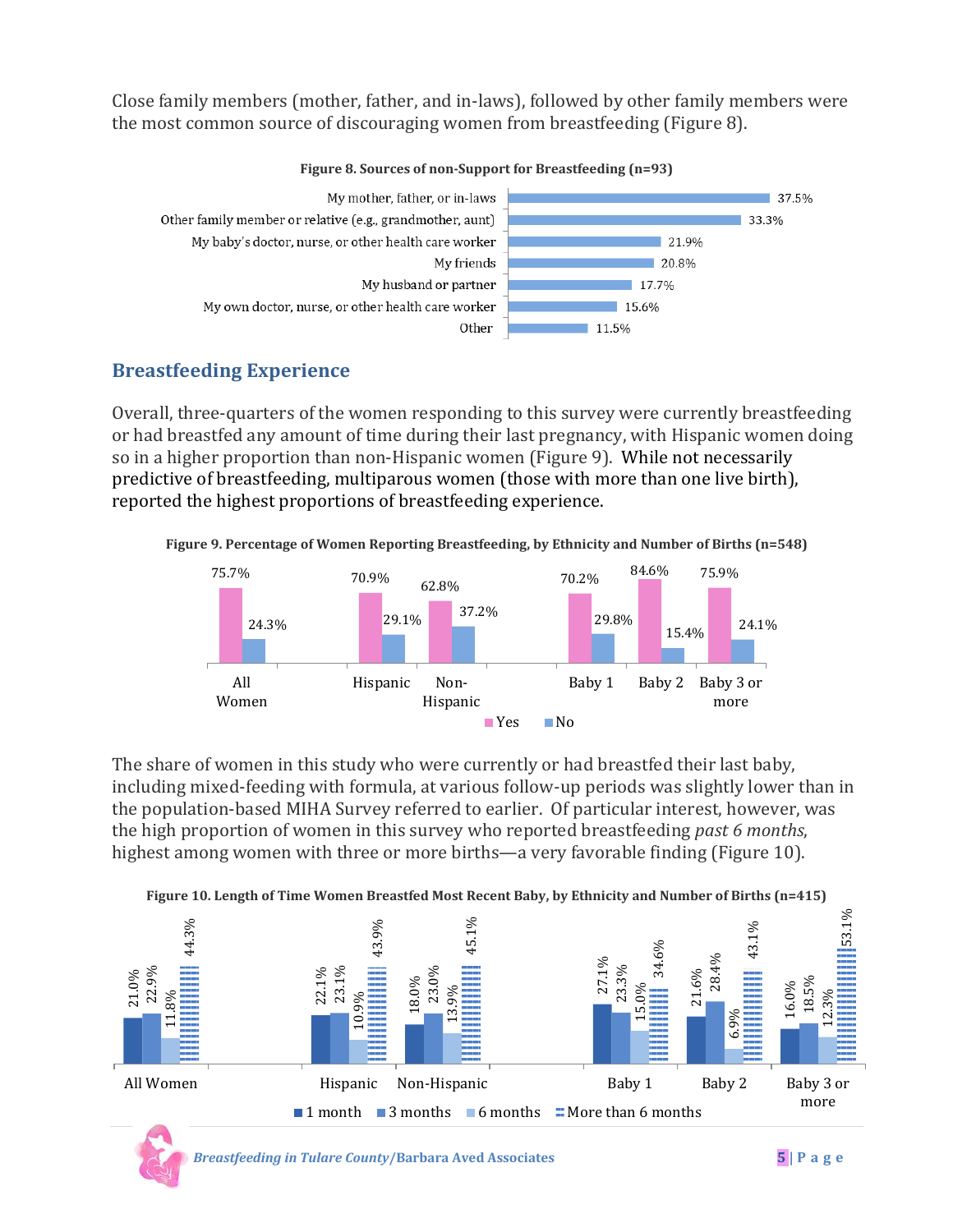Close family members (mother, father, and in-laws), followed by other family members were the most common source of discouraging women from breastfeeding (Figure 8).



#### **Figure 8. Sources of non-Support for Breastfeeding (n=93)**

### **Breastfeeding Experience**

Overall, three-quarters of the women responding to this survey were currently breastfeeding or had breastfed any amount of time during their last pregnancy, with Hispanic women doing so in a higher proportion than non-Hispanic women (Figure 9). While not necessarily predictive of breastfeeding, multiparous women (those with more than one live birth), reported the highest proportions of breastfeeding experience.





The share of women in this study who were currently or had breastfed their last baby, including mixed-feeding with formula, at various follow-up periods was slightly lower than in the population-based MIHA Survey referred to earlier. Of particular interest, however, was the high proportion of women in this survey who reported breastfeeding *past 6 months*, highest among women with three or more births—a very favorable finding (Figure 10).

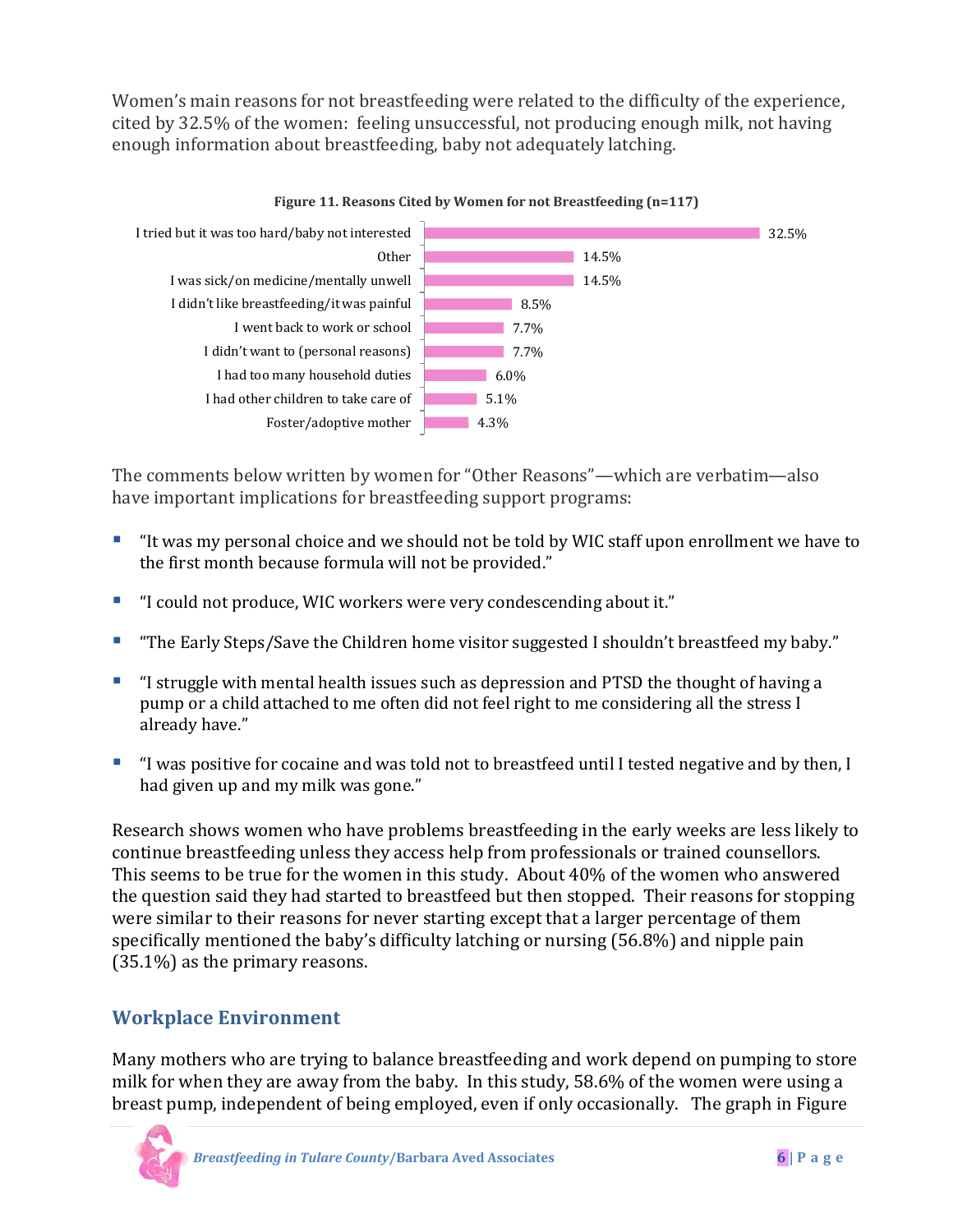Women's main reasons for not breastfeeding were related to the difficulty of the experience, cited by 32.5% of the women: feeling unsuccessful, not producing enough milk, not having enough information about breastfeeding, baby not adequately latching.



The comments below written by women for "Other Reasons"—which are verbatim—also have important implications for breastfeeding support programs:

- "It was my personal choice and we should not be told by WIC staff upon enrollment we have to the first month because formula will not be provided."
- "I could not produce, WIC workers were very condescending about it."
- "The Early Steps/Save the Children home visitor suggested I shouldn't breastfeed my baby."
- "I struggle with mental health issues such as depression and PTSD the thought of having a pump or a child attached to me often did not feel right to me considering all the stress I already have."
- "I was positive for cocaine and was told not to breastfeed until I tested negative and by then, I had given up and my milk was gone."

Research shows women who have problems breastfeeding in the early weeks are less likely to continue breastfeeding unless they access help from professionals or trained counsellors. This seems to be true for the women in this study. About 40% of the women who answered the question said they had started to breastfeed but then stopped. Their reasons for stopping were similar to their reasons for never starting except that a larger percentage of them specifically mentioned the baby's difficulty latching or nursing (56.8%) and nipple pain (35.1%) as the primary reasons.

### **Workplace Environment**

Many mothers who are trying to balance breastfeeding and work depend on pumping to store milk for when they are away from the baby. In this study, 58.6% of the women were using a breast pump, independent of being employed, even if only occasionally. The graph in Figure

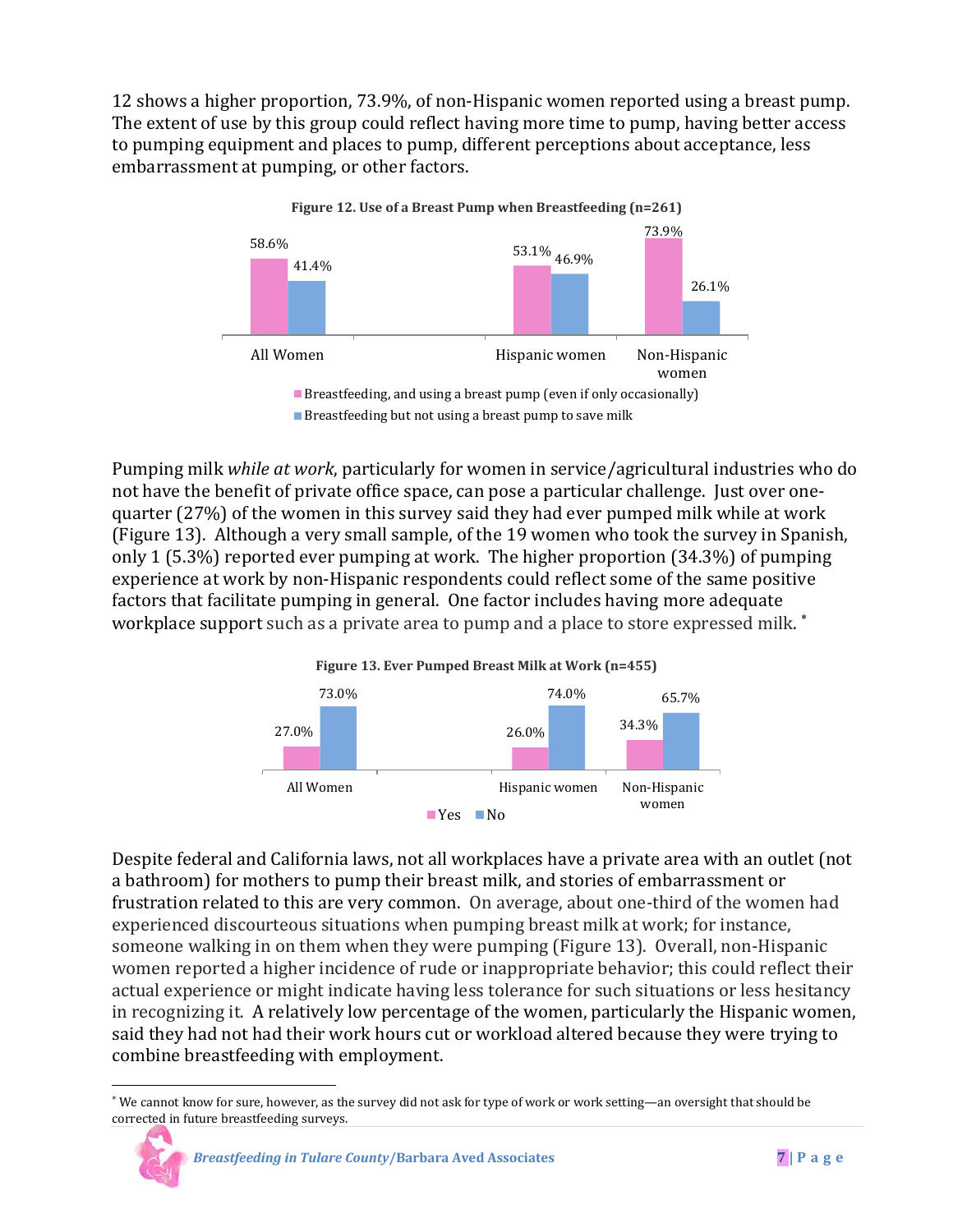12 shows a higher proportion, 73.9%, of non-Hispanic women reported using a breast pump. The extent of use by this group could reflect having more time to pump, having better access to pumping equipment and places to pump, different perceptions about acceptance, less embarrassment at pumping, or other factors.



Pumping milk *while at work*, particularly for women in service/agricultural industries who do not have the benefit of private office space, can pose a particular challenge. Just over onequarter (27%) of the women in this survey said they had ever pumped milk while at work (Figure 13). Although a very small sample, of the 19 women who took the survey in Spanish, only 1 (5.3%) reported ever pumping at work. The higher proportion (34.3%) of pumping experience at work by non-Hispanic respondents could reflect some of the same positive factors that facilitate pumping in general. One factor includes having more adequate workplace support such as a private area to pump and a place to store expressed milk.  $^{\ast}$ 



Despite federal and California laws, not all workplaces have a private area with an outlet (not a bathroom) for mothers to pump their breast milk, and stories of embarrassment or frustration related to this are very common. On average, about one-third of the women had experienced discourteous situations when pumping breast milk at work; for instance, someone walking in on them when they were pumping (Figure 13). Overall, non-Hispanic women reported a higher incidence of rude or inappropriate behavior; this could reflect their actual experience or might indicate having less tolerance for such situations or less hesitancy in recognizing it. A relatively low percentage of the women, particularly the Hispanic women, said they had not had their work hours cut or workload altered because they were trying to combine breastfeeding with employment.

<span id="page-7-0"></span>l <sup>∗</sup> We cannot know for sure, however, as the survey did not ask for type of work or work setting—an oversight that should be corrected in future breastfeeding surveys.

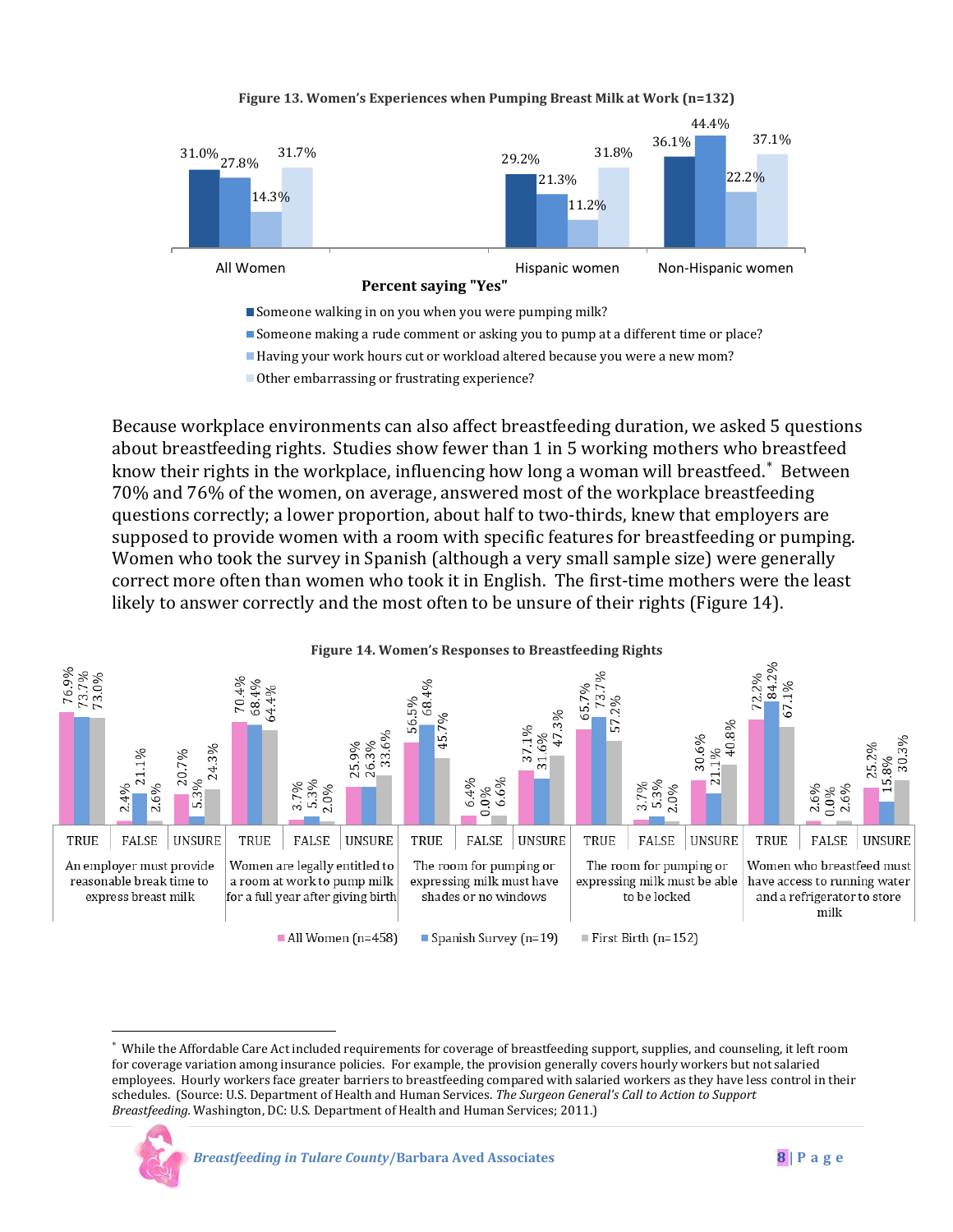#### **Figure 13. Women's Experiences when Pumping Breast Milk at Work (n=132)**



Other embarrassing or frustrating experience?

Because workplace environments can also affect breastfeeding duration, we asked 5 questions about breastfeeding rights. Studies show fewer than 1 in 5 working mothers who breastfeed know their rights in the workplace, influencing how long a woman will breastfeed. $^*$  Between 70% and 76% of the women, on average, answered most of the workplace breastfeeding questions correctly; a lower proportion, about half to two-thirds, knew that employers are supposed to provide women with a room with specific features for breastfeeding or pumping. Women who took the survey in Spanish (although a very small sample size) were generally correct more often than women who took it in English. The first-time mothers were the least likely to answer correctly and the most often to be unsure of their rights (Figure 14).



<span id="page-8-0"></span><sup>∗</sup> While the Affordable Care Act included requirements for coverage of breastfeeding support, supplies, and counseling, it left room for coverage variation among insurance policies. For example, the provision generally covers hourly workers but not salaried employees. Hourly workers face greater barriers to breastfeeding compared with salaried workers as they have less control in their schedules. (Source: U.S. Department of Health and Human Services. *The Surgeon General's Call to Action to Support Breastfeeding.* Washington, DC: U.S. Department of Health and Human Services; 2011.)



l